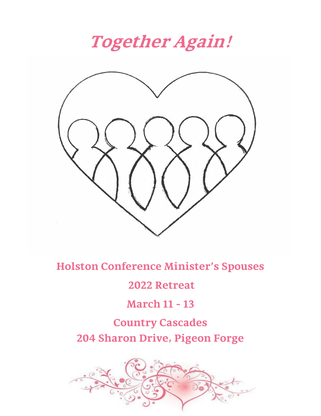**Together Again!**



**Holston Conference Minister's Spouses**

### **2022 Retreat**

## **March 11 - 13**

## **Country Cascades 204 Sharon Drive, Pigeon Forge**

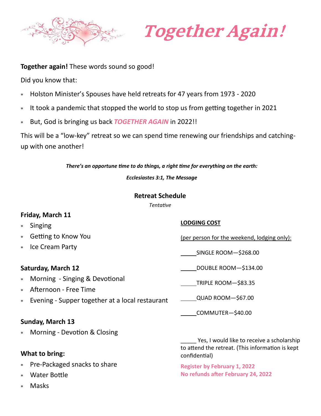

# **Together Again!**

#### **Together again!** These words sound so good!

Did you know that:

- Holston Minister's Spouses have held retreats for 47 years from 1973 2020
- It took a pandemic that stopped the world to stop us from getting together in 2021
- But, God is bringing us back *TOGETHER AGAIN* in 2022!!

This will be a "low-key" retreat so we can spend time renewing our friendships and catchingup with one another!

*There's an opportune time to do things, a right time for everything on the earth:* 

*Ecclesiastes 3:1, The Message*

#### **Retreat Schedule**

*Tentative*

#### **Friday, March 11**

- Singing
- Getting to Know You
- Ice Cream Party

#### **Saturday, March 12**

- Morning Singing & Devotional
- Afternoon Free Time
- Evening Supper together at a local restaurant

#### **Sunday, March 13**

Morning - Devotion & Closing

#### **What to bring:**

- Pre-Packaged snacks to share
- Water Bottle
- Masks

#### **LODGING COST**

(per person for the weekend, lodging only):

SINGLE ROOM—\$268.00

DOUBLE ROOM—\$134.00

TRIPLE ROOM—\$83.35

QUAD ROOM—\$67.00

COMMUTER—\$40.00

Yes, I would like to receive a scholarship to attend the retreat. (This information is kept confidential)

**Register by February 1, 2022 No refunds after February 24, 2022**